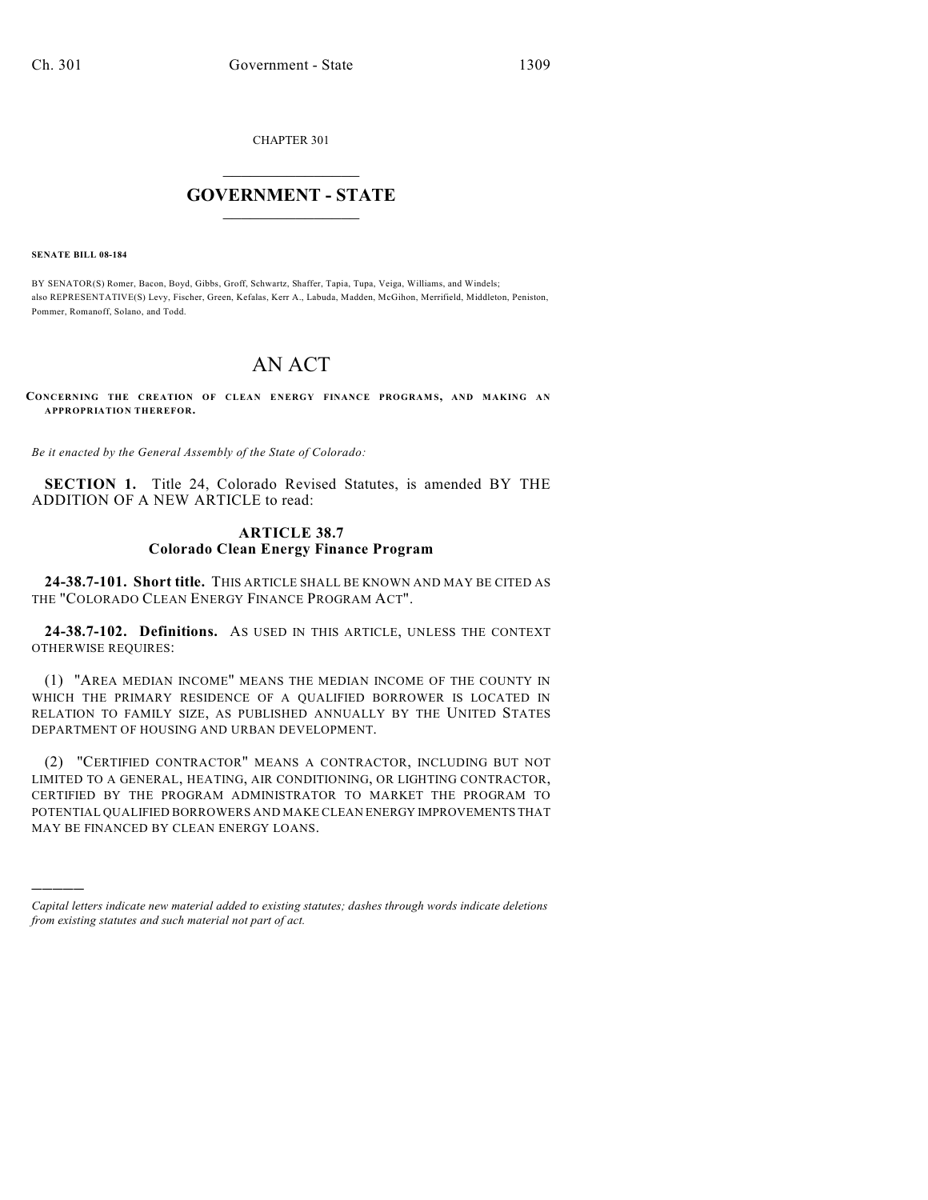CHAPTER 301

## $\mathcal{L}_\text{max}$  . The set of the set of the set of the set of the set of the set of the set of the set of the set of the set of the set of the set of the set of the set of the set of the set of the set of the set of the set **GOVERNMENT - STATE**  $\_$   $\_$   $\_$   $\_$   $\_$   $\_$   $\_$   $\_$   $\_$

**SENATE BILL 08-184**

)))))

BY SENATOR(S) Romer, Bacon, Boyd, Gibbs, Groff, Schwartz, Shaffer, Tapia, Tupa, Veiga, Williams, and Windels; also REPRESENTATIVE(S) Levy, Fischer, Green, Kefalas, Kerr A., Labuda, Madden, McGihon, Merrifield, Middleton, Peniston, Pommer, Romanoff, Solano, and Todd.

# AN ACT

**CONCERNING THE CREATION OF CLEAN ENERGY FINANCE PROGRAM S, AND MAKING AN APPROPRIATION THEREFOR.**

*Be it enacted by the General Assembly of the State of Colorado:*

**SECTION 1.** Title 24, Colorado Revised Statutes, is amended BY THE ADDITION OF A NEW ARTICLE to read:

## **ARTICLE 38.7 Colorado Clean Energy Finance Program**

**24-38.7-101. Short title.** THIS ARTICLE SHALL BE KNOWN AND MAY BE CITED AS THE "COLORADO CLEAN ENERGY FINANCE PROGRAM ACT".

**24-38.7-102. Definitions.** AS USED IN THIS ARTICLE, UNLESS THE CONTEXT OTHERWISE REQUIRES:

(1) "AREA MEDIAN INCOME" MEANS THE MEDIAN INCOME OF THE COUNTY IN WHICH THE PRIMARY RESIDENCE OF A QUALIFIED BORROWER IS LOCATED IN RELATION TO FAMILY SIZE, AS PUBLISHED ANNUALLY BY THE UNITED STATES DEPARTMENT OF HOUSING AND URBAN DEVELOPMENT.

(2) "CERTIFIED CONTRACTOR" MEANS A CONTRACTOR, INCLUDING BUT NOT LIMITED TO A GENERAL, HEATING, AIR CONDITIONING, OR LIGHTING CONTRACTOR, CERTIFIED BY THE PROGRAM ADMINISTRATOR TO MARKET THE PROGRAM TO POTENTIAL QUALIFIED BORROWERS AND MAKE CLEAN ENERGY IMPROVEMENTS THAT MAY BE FINANCED BY CLEAN ENERGY LOANS.

*Capital letters indicate new material added to existing statutes; dashes through words indicate deletions from existing statutes and such material not part of act.*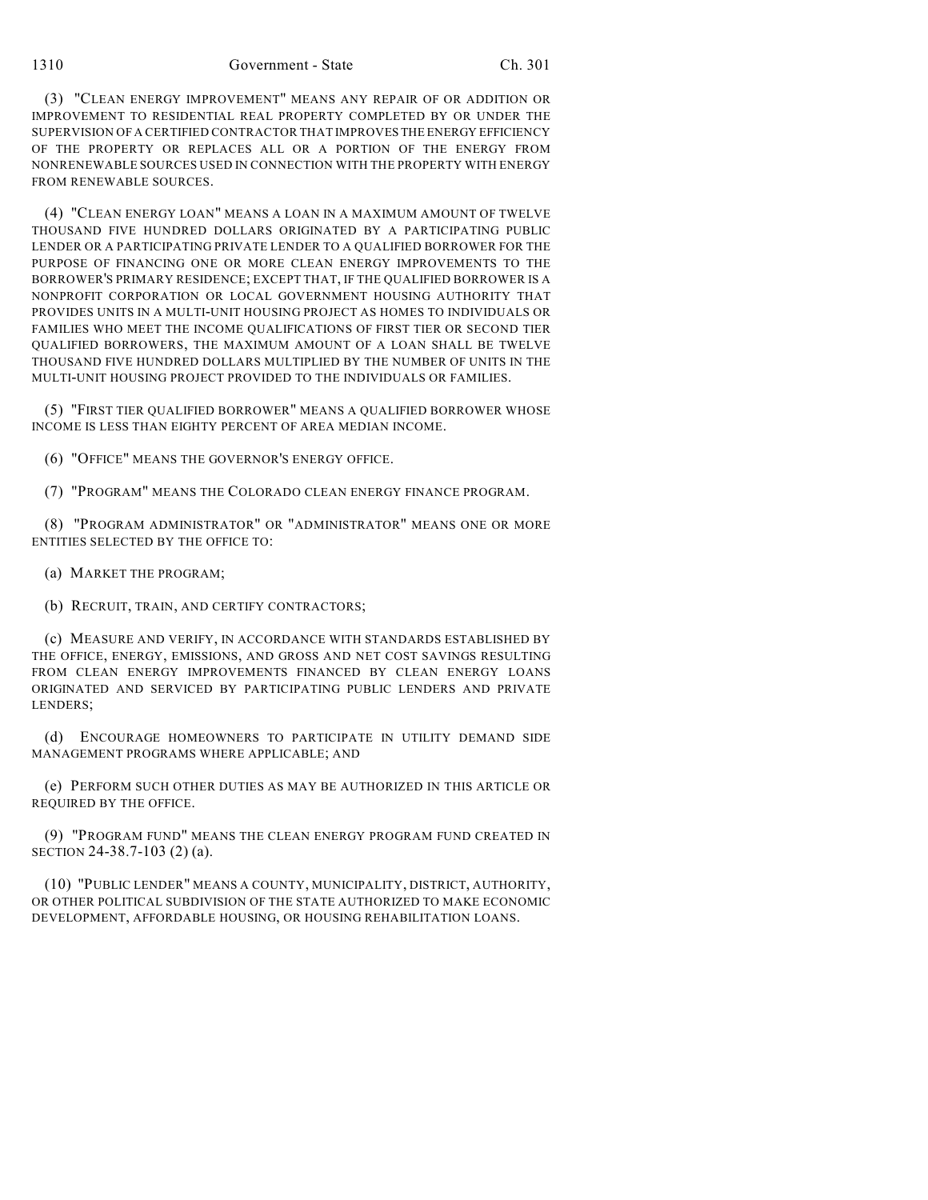(3) "CLEAN ENERGY IMPROVEMENT" MEANS ANY REPAIR OF OR ADDITION OR IMPROVEMENT TO RESIDENTIAL REAL PROPERTY COMPLETED BY OR UNDER THE SUPERVISION OF A CERTIFIED CONTRACTOR THAT IMPROVES THE ENERGY EFFICIENCY OF THE PROPERTY OR REPLACES ALL OR A PORTION OF THE ENERGY FROM NONRENEWABLE SOURCES USED IN CONNECTION WITH THE PROPERTY WITH ENERGY FROM RENEWABLE SOURCES.

(4) "CLEAN ENERGY LOAN" MEANS A LOAN IN A MAXIMUM AMOUNT OF TWELVE THOUSAND FIVE HUNDRED DOLLARS ORIGINATED BY A PARTICIPATING PUBLIC LENDER OR A PARTICIPATING PRIVATE LENDER TO A QUALIFIED BORROWER FOR THE PURPOSE OF FINANCING ONE OR MORE CLEAN ENERGY IMPROVEMENTS TO THE BORROWER'S PRIMARY RESIDENCE; EXCEPT THAT, IF THE QUALIFIED BORROWER IS A NONPROFIT CORPORATION OR LOCAL GOVERNMENT HOUSING AUTHORITY THAT PROVIDES UNITS IN A MULTI-UNIT HOUSING PROJECT AS HOMES TO INDIVIDUALS OR FAMILIES WHO MEET THE INCOME QUALIFICATIONS OF FIRST TIER OR SECOND TIER QUALIFIED BORROWERS, THE MAXIMUM AMOUNT OF A LOAN SHALL BE TWELVE THOUSAND FIVE HUNDRED DOLLARS MULTIPLIED BY THE NUMBER OF UNITS IN THE MULTI-UNIT HOUSING PROJECT PROVIDED TO THE INDIVIDUALS OR FAMILIES.

(5) "FIRST TIER QUALIFIED BORROWER" MEANS A QUALIFIED BORROWER WHOSE INCOME IS LESS THAN EIGHTY PERCENT OF AREA MEDIAN INCOME.

(6) "OFFICE" MEANS THE GOVERNOR'S ENERGY OFFICE.

(7) "PROGRAM" MEANS THE COLORADO CLEAN ENERGY FINANCE PROGRAM.

(8) "PROGRAM ADMINISTRATOR" OR "ADMINISTRATOR" MEANS ONE OR MORE ENTITIES SELECTED BY THE OFFICE TO:

(a) MARKET THE PROGRAM;

(b) RECRUIT, TRAIN, AND CERTIFY CONTRACTORS;

(c) MEASURE AND VERIFY, IN ACCORDANCE WITH STANDARDS ESTABLISHED BY THE OFFICE, ENERGY, EMISSIONS, AND GROSS AND NET COST SAVINGS RESULTING FROM CLEAN ENERGY IMPROVEMENTS FINANCED BY CLEAN ENERGY LOANS ORIGINATED AND SERVICED BY PARTICIPATING PUBLIC LENDERS AND PRIVATE LENDERS;

(d) ENCOURAGE HOMEOWNERS TO PARTICIPATE IN UTILITY DEMAND SIDE MANAGEMENT PROGRAMS WHERE APPLICABLE; AND

(e) PERFORM SUCH OTHER DUTIES AS MAY BE AUTHORIZED IN THIS ARTICLE OR REQUIRED BY THE OFFICE.

(9) "PROGRAM FUND" MEANS THE CLEAN ENERGY PROGRAM FUND CREATED IN SECTION 24-38.7-103 (2) (a).

(10) "PUBLIC LENDER" MEANS A COUNTY, MUNICIPALITY, DISTRICT, AUTHORITY, OR OTHER POLITICAL SUBDIVISION OF THE STATE AUTHORIZED TO MAKE ECONOMIC DEVELOPMENT, AFFORDABLE HOUSING, OR HOUSING REHABILITATION LOANS.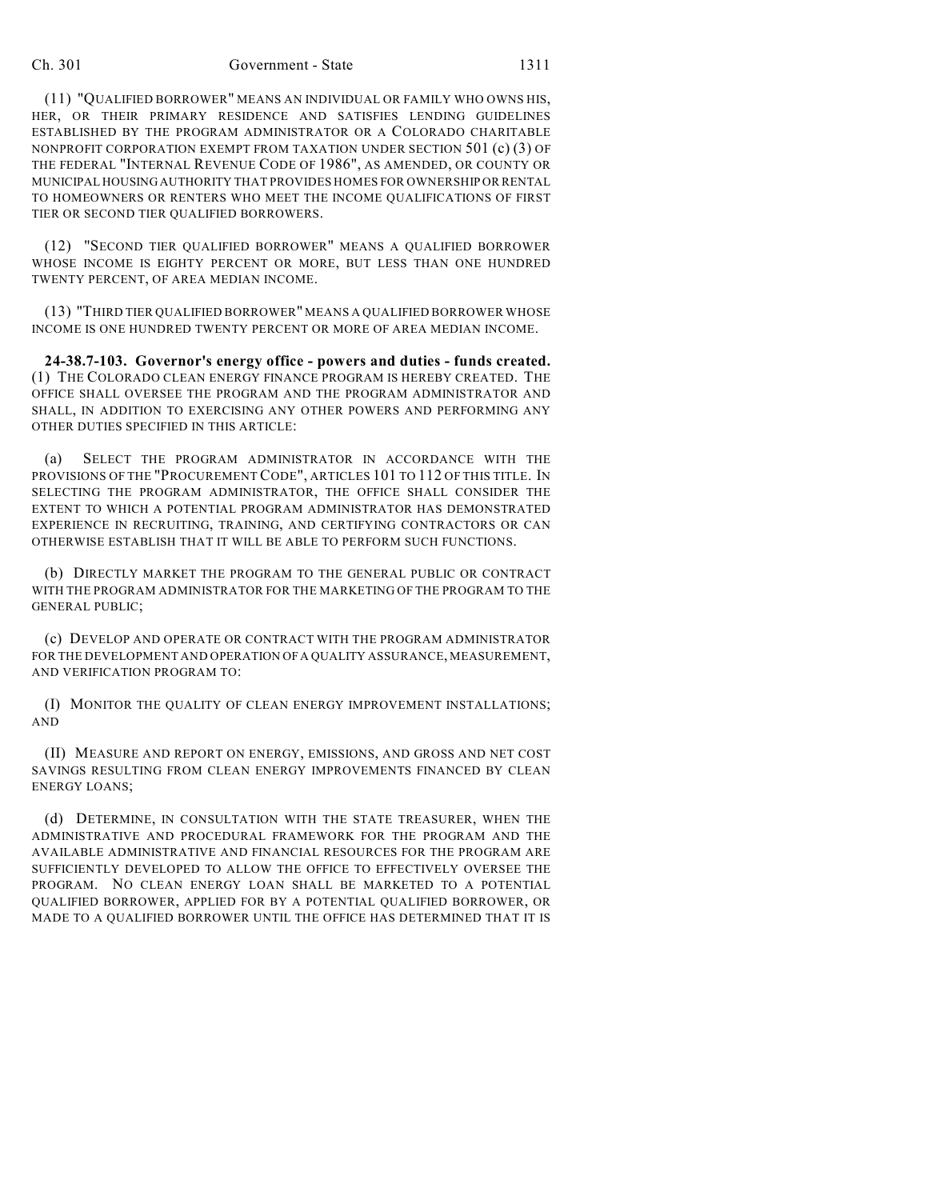#### Ch. 301 Government - State 1311

(11) "QUALIFIED BORROWER" MEANS AN INDIVIDUAL OR FAMILY WHO OWNS HIS, HER, OR THEIR PRIMARY RESIDENCE AND SATISFIES LENDING GUIDELINES ESTABLISHED BY THE PROGRAM ADMINISTRATOR OR A COLORADO CHARITABLE NONPROFIT CORPORATION EXEMPT FROM TAXATION UNDER SECTION 501 (c) (3) OF THE FEDERAL "INTERNAL REVENUE CODE OF 1986", AS AMENDED, OR COUNTY OR MUNICIPAL HOUSING AUTHORITY THAT PROVIDES HOMES FOR OWNERSHIP OR RENTAL TO HOMEOWNERS OR RENTERS WHO MEET THE INCOME QUALIFICATIONS OF FIRST TIER OR SECOND TIER QUALIFIED BORROWERS.

(12) "SECOND TIER QUALIFIED BORROWER" MEANS A QUALIFIED BORROWER WHOSE INCOME IS EIGHTY PERCENT OR MORE, BUT LESS THAN ONE HUNDRED TWENTY PERCENT, OF AREA MEDIAN INCOME.

(13) "THIRD TIER QUALIFIED BORROWER" MEANS A QUALIFIED BORROWER WHOSE INCOME IS ONE HUNDRED TWENTY PERCENT OR MORE OF AREA MEDIAN INCOME.

**24-38.7-103. Governor's energy office - powers and duties - funds created.** (1) THE COLORADO CLEAN ENERGY FINANCE PROGRAM IS HEREBY CREATED. THE OFFICE SHALL OVERSEE THE PROGRAM AND THE PROGRAM ADMINISTRATOR AND SHALL, IN ADDITION TO EXERCISING ANY OTHER POWERS AND PERFORMING ANY OTHER DUTIES SPECIFIED IN THIS ARTICLE:

(a) SELECT THE PROGRAM ADMINISTRATOR IN ACCORDANCE WITH THE PROVISIONS OF THE "PROCUREMENT CODE", ARTICLES 101 TO 112 OF THIS TITLE. IN SELECTING THE PROGRAM ADMINISTRATOR, THE OFFICE SHALL CONSIDER THE EXTENT TO WHICH A POTENTIAL PROGRAM ADMINISTRATOR HAS DEMONSTRATED EXPERIENCE IN RECRUITING, TRAINING, AND CERTIFYING CONTRACTORS OR CAN OTHERWISE ESTABLISH THAT IT WILL BE ABLE TO PERFORM SUCH FUNCTIONS.

(b) DIRECTLY MARKET THE PROGRAM TO THE GENERAL PUBLIC OR CONTRACT WITH THE PROGRAM ADMINISTRATOR FOR THE MARKETING OF THE PROGRAM TO THE GENERAL PUBLIC;

(c) DEVELOP AND OPERATE OR CONTRACT WITH THE PROGRAM ADMINISTRATOR FOR THE DEVELOPMENT AND OPERATION OF A QUALITY ASSURANCE, MEASUREMENT, AND VERIFICATION PROGRAM TO:

(I) MONITOR THE QUALITY OF CLEAN ENERGY IMPROVEMENT INSTALLATIONS; AND

(II) MEASURE AND REPORT ON ENERGY, EMISSIONS, AND GROSS AND NET COST SAVINGS RESULTING FROM CLEAN ENERGY IMPROVEMENTS FINANCED BY CLEAN ENERGY LOANS;

(d) DETERMINE, IN CONSULTATION WITH THE STATE TREASURER, WHEN THE ADMINISTRATIVE AND PROCEDURAL FRAMEWORK FOR THE PROGRAM AND THE AVAILABLE ADMINISTRATIVE AND FINANCIAL RESOURCES FOR THE PROGRAM ARE SUFFICIENTLY DEVELOPED TO ALLOW THE OFFICE TO EFFECTIVELY OVERSEE THE PROGRAM. NO CLEAN ENERGY LOAN SHALL BE MARKETED TO A POTENTIAL QUALIFIED BORROWER, APPLIED FOR BY A POTENTIAL QUALIFIED BORROWER, OR MADE TO A QUALIFIED BORROWER UNTIL THE OFFICE HAS DETERMINED THAT IT IS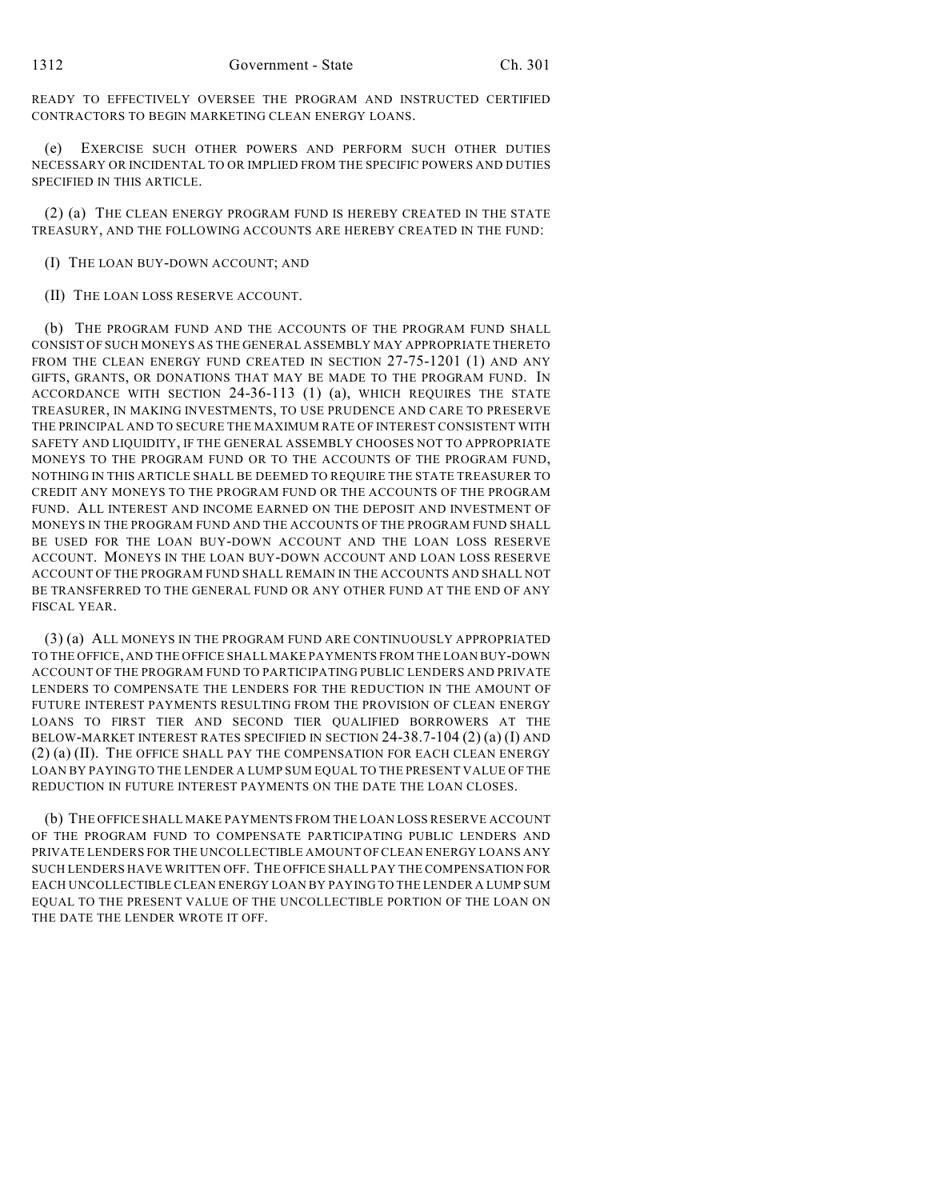READY TO EFFECTIVELY OVERSEE THE PROGRAM AND INSTRUCTED CERTIFIED CONTRACTORS TO BEGIN MARKETING CLEAN ENERGY LOANS.

(e) EXERCISE SUCH OTHER POWERS AND PERFORM SUCH OTHER DUTIES NECESSARY OR INCIDENTAL TO OR IMPLIED FROM THE SPECIFIC POWERS AND DUTIES SPECIFIED IN THIS ARTICLE.

(2) (a) THE CLEAN ENERGY PROGRAM FUND IS HEREBY CREATED IN THE STATE TREASURY, AND THE FOLLOWING ACCOUNTS ARE HEREBY CREATED IN THE FUND:

(I) THE LOAN BUY-DOWN ACCOUNT; AND

## (II) THE LOAN LOSS RESERVE ACCOUNT.

(b) THE PROGRAM FUND AND THE ACCOUNTS OF THE PROGRAM FUND SHALL CONSIST OF SUCH MONEYS AS THE GENERAL ASSEMBLY MAY APPROPRIATE THERETO FROM THE CLEAN ENERGY FUND CREATED IN SECTION 27-75-1201 (1) AND ANY GIFTS, GRANTS, OR DONATIONS THAT MAY BE MADE TO THE PROGRAM FUND. IN ACCORDANCE WITH SECTION 24-36-113 (1) (a), WHICH REQUIRES THE STATE TREASURER, IN MAKING INVESTMENTS, TO USE PRUDENCE AND CARE TO PRESERVE THE PRINCIPAL AND TO SECURE THE MAXIMUM RATE OF INTEREST CONSISTENT WITH SAFETY AND LIQUIDITY, IF THE GENERAL ASSEMBLY CHOOSES NOT TO APPROPRIATE MONEYS TO THE PROGRAM FUND OR TO THE ACCOUNTS OF THE PROGRAM FUND, NOTHING IN THIS ARTICLE SHALL BE DEEMED TO REQUIRE THE STATE TREASURER TO CREDIT ANY MONEYS TO THE PROGRAM FUND OR THE ACCOUNTS OF THE PROGRAM FUND. ALL INTEREST AND INCOME EARNED ON THE DEPOSIT AND INVESTMENT OF MONEYS IN THE PROGRAM FUND AND THE ACCOUNTS OF THE PROGRAM FUND SHALL BE USED FOR THE LOAN BUY-DOWN ACCOUNT AND THE LOAN LOSS RESERVE ACCOUNT. MONEYS IN THE LOAN BUY-DOWN ACCOUNT AND LOAN LOSS RESERVE ACCOUNT OF THE PROGRAM FUND SHALL REMAIN IN THE ACCOUNTS AND SHALL NOT BE TRANSFERRED TO THE GENERAL FUND OR ANY OTHER FUND AT THE END OF ANY FISCAL YEAR.

(3) (a) ALL MONEYS IN THE PROGRAM FUND ARE CONTINUOUSLY APPROPRIATED TO THE OFFICE, AND THE OFFICE SHALL MAKE PAYMENTS FROM THE LOAN BUY-DOWN ACCOUNT OF THE PROGRAM FUND TO PARTICIPATING PUBLIC LENDERS AND PRIVATE LENDERS TO COMPENSATE THE LENDERS FOR THE REDUCTION IN THE AMOUNT OF FUTURE INTEREST PAYMENTS RESULTING FROM THE PROVISION OF CLEAN ENERGY LOANS TO FIRST TIER AND SECOND TIER QUALIFIED BORROWERS AT THE BELOW-MARKET INTEREST RATES SPECIFIED IN SECTION 24-38.7-104 (2) (a) (I) AND (2) (a) (II). THE OFFICE SHALL PAY THE COMPENSATION FOR EACH CLEAN ENERGY LOAN BY PAYING TO THE LENDER A LUMP SUM EQUAL TO THE PRESENT VALUE OF THE REDUCTION IN FUTURE INTEREST PAYMENTS ON THE DATE THE LOAN CLOSES.

(b) THE OFFICE SHALL MAKE PAYMENTS FROM THE LOAN LOSS RESERVE ACCOUNT OF THE PROGRAM FUND TO COMPENSATE PARTICIPATING PUBLIC LENDERS AND PRIVATE LENDERS FOR THE UNCOLLECTIBLE AMOUNT OF CLEAN ENERGY LOANS ANY SUCH LENDERS HAVE WRITTEN OFF. THE OFFICE SHALL PAY THE COMPENSATION FOR EACH UNCOLLECTIBLE CLEAN ENERGY LOAN BY PAYING TO THE LENDER A LUMP SUM EQUAL TO THE PRESENT VALUE OF THE UNCOLLECTIBLE PORTION OF THE LOAN ON THE DATE THE LENDER WROTE IT OFF.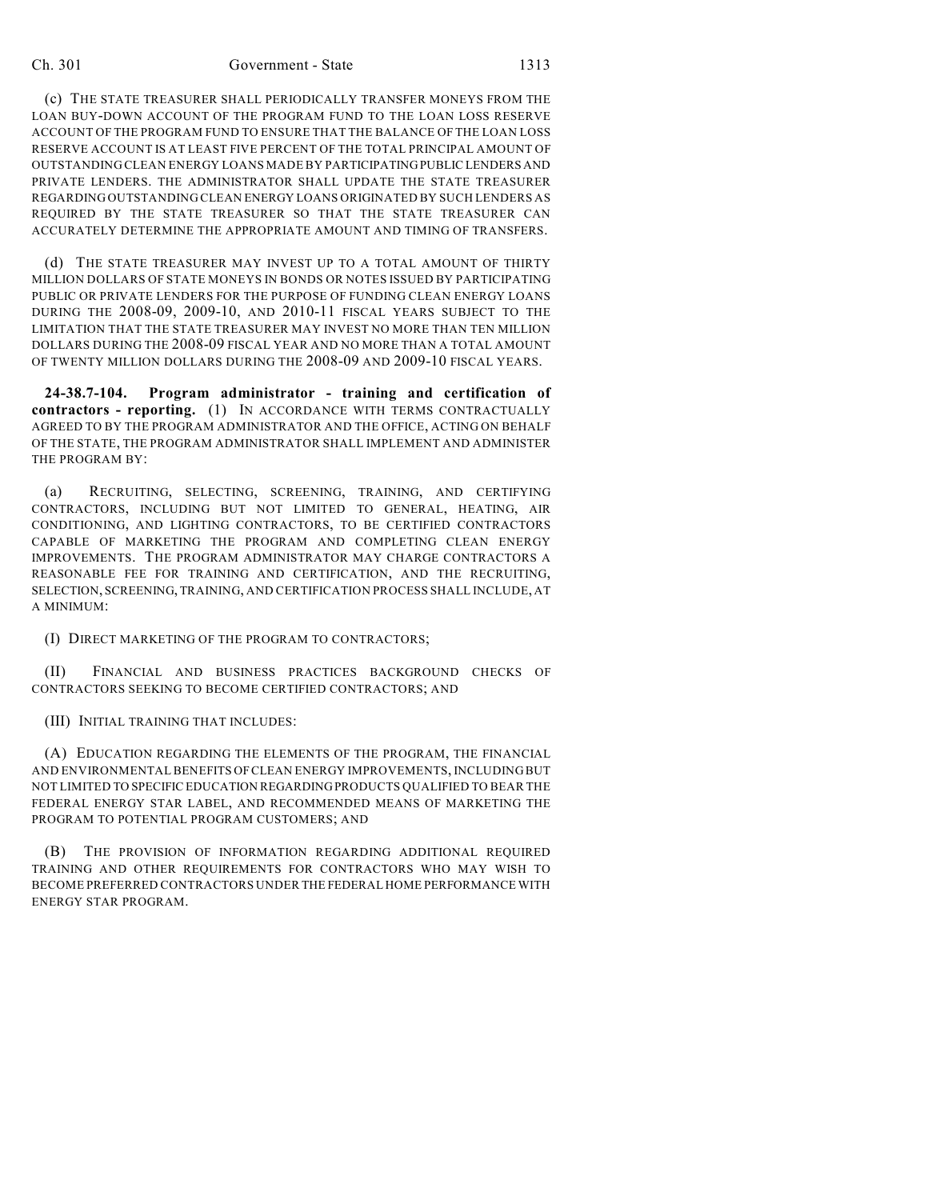#### Ch. 301 Government - State 1313

(c) THE STATE TREASURER SHALL PERIODICALLY TRANSFER MONEYS FROM THE LOAN BUY-DOWN ACCOUNT OF THE PROGRAM FUND TO THE LOAN LOSS RESERVE ACCOUNT OF THE PROGRAM FUND TO ENSURE THAT THE BALANCE OF THE LOAN LOSS RESERVE ACCOUNT IS AT LEAST FIVE PERCENT OF THE TOTAL PRINCIPAL AMOUNT OF OUTSTANDING CLEAN ENERGY LOANS MADE BY PARTICIPATING PUBLIC LENDERS AND PRIVATE LENDERS. THE ADMINISTRATOR SHALL UPDATE THE STATE TREASURER REGARDING OUTSTANDING CLEAN ENERGY LOANS ORIGINATED BY SUCH LENDERS AS REQUIRED BY THE STATE TREASURER SO THAT THE STATE TREASURER CAN ACCURATELY DETERMINE THE APPROPRIATE AMOUNT AND TIMING OF TRANSFERS.

(d) THE STATE TREASURER MAY INVEST UP TO A TOTAL AMOUNT OF THIRTY MILLION DOLLARS OF STATE MONEYS IN BONDS OR NOTES ISSUED BY PARTICIPATING PUBLIC OR PRIVATE LENDERS FOR THE PURPOSE OF FUNDING CLEAN ENERGY LOANS DURING THE 2008-09, 2009-10, AND 2010-11 FISCAL YEARS SUBJECT TO THE LIMITATION THAT THE STATE TREASURER MAY INVEST NO MORE THAN TEN MILLION DOLLARS DURING THE 2008-09 FISCAL YEAR AND NO MORE THAN A TOTAL AMOUNT OF TWENTY MILLION DOLLARS DURING THE 2008-09 AND 2009-10 FISCAL YEARS.

**24-38.7-104. Program administrator - training and certification of contractors - reporting.** (1) IN ACCORDANCE WITH TERMS CONTRACTUALLY AGREED TO BY THE PROGRAM ADMINISTRATOR AND THE OFFICE, ACTING ON BEHALF OF THE STATE, THE PROGRAM ADMINISTRATOR SHALL IMPLEMENT AND ADMINISTER THE PROGRAM BY:

(a) RECRUITING, SELECTING, SCREENING, TRAINING, AND CERTIFYING CONTRACTORS, INCLUDING BUT NOT LIMITED TO GENERAL, HEATING, AIR CONDITIONING, AND LIGHTING CONTRACTORS, TO BE CERTIFIED CONTRACTORS CAPABLE OF MARKETING THE PROGRAM AND COMPLETING CLEAN ENERGY IMPROVEMENTS. THE PROGRAM ADMINISTRATOR MAY CHARGE CONTRACTORS A REASONABLE FEE FOR TRAINING AND CERTIFICATION, AND THE RECRUITING, SELECTION, SCREENING, TRAINING, AND CERTIFICATION PROCESS SHALL INCLUDE, AT A MINIMUM:

(I) DIRECT MARKETING OF THE PROGRAM TO CONTRACTORS;

(II) FINANCIAL AND BUSINESS PRACTICES BACKGROUND CHECKS OF CONTRACTORS SEEKING TO BECOME CERTIFIED CONTRACTORS; AND

(III) INITIAL TRAINING THAT INCLUDES:

(A) EDUCATION REGARDING THE ELEMENTS OF THE PROGRAM, THE FINANCIAL AND ENVIRONMENTAL BENEFITS OF CLEAN ENERGY IMPROVEMENTS, INCLUDING BUT NOT LIMITED TO SPECIFIC EDUCATION REGARDING PRODUCTS QUALIFIED TO BEAR THE FEDERAL ENERGY STAR LABEL, AND RECOMMENDED MEANS OF MARKETING THE PROGRAM TO POTENTIAL PROGRAM CUSTOMERS; AND

(B) THE PROVISION OF INFORMATION REGARDING ADDITIONAL REQUIRED TRAINING AND OTHER REQUIREMENTS FOR CONTRACTORS WHO MAY WISH TO BECOME PREFERRED CONTRACTORS UNDER THE FEDERAL HOME PERFORMANCE WITH ENERGY STAR PROGRAM.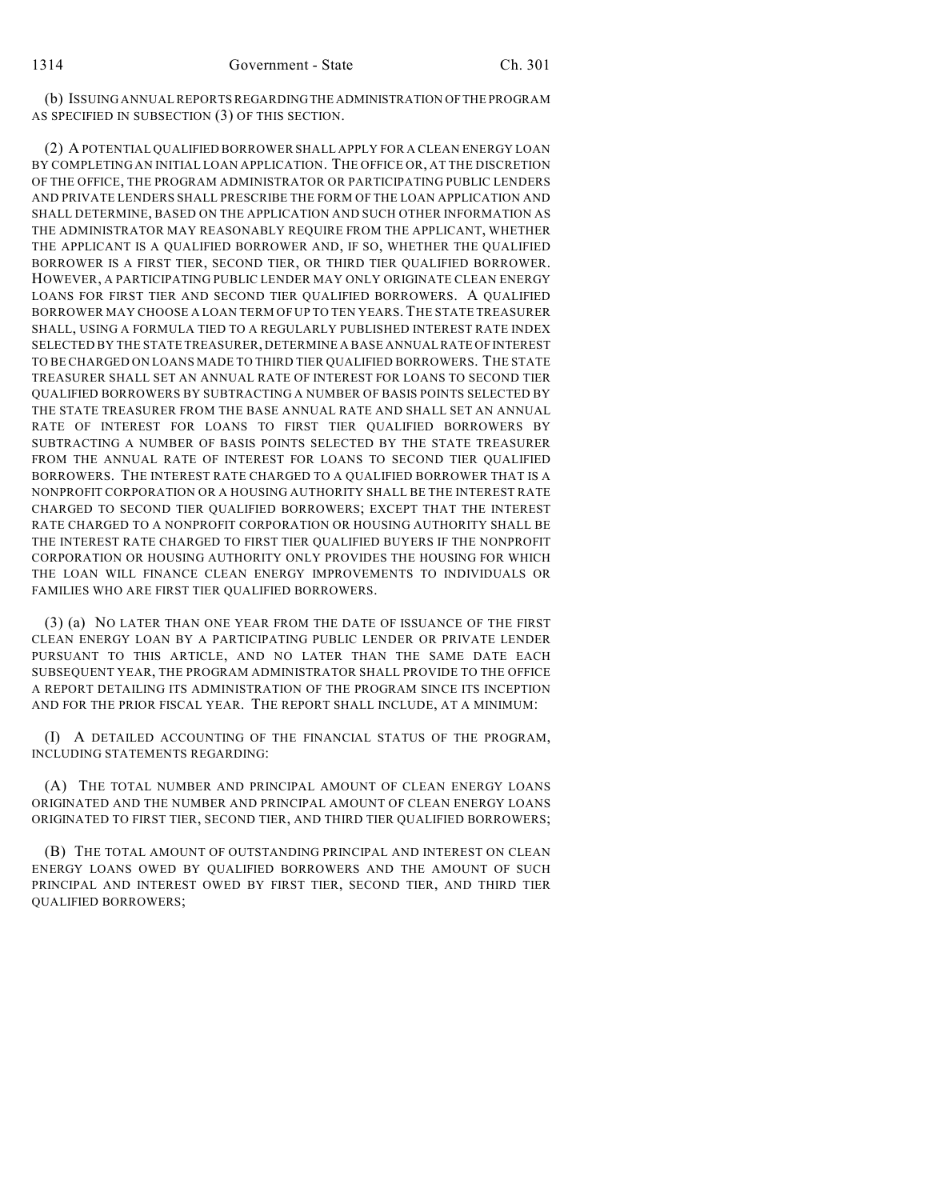(b) ISSUING ANNUAL REPORTS REGARDING THE ADMINISTRATION OF THE PROGRAM AS SPECIFIED IN SUBSECTION (3) OF THIS SECTION.

(2) A POTENTIAL QUALIFIED BORROWER SHALL APPLY FOR A CLEAN ENERGY LOAN BY COMPLETING AN INITIAL LOAN APPLICATION. THE OFFICE OR, AT THE DISCRETION OF THE OFFICE, THE PROGRAM ADMINISTRATOR OR PARTICIPATING PUBLIC LENDERS AND PRIVATE LENDERS SHALL PRESCRIBE THE FORM OF THE LOAN APPLICATION AND SHALL DETERMINE, BASED ON THE APPLICATION AND SUCH OTHER INFORMATION AS THE ADMINISTRATOR MAY REASONABLY REQUIRE FROM THE APPLICANT, WHETHER THE APPLICANT IS A QUALIFIED BORROWER AND, IF SO, WHETHER THE QUALIFIED BORROWER IS A FIRST TIER, SECOND TIER, OR THIRD TIER QUALIFIED BORROWER. HOWEVER, A PARTICIPATING PUBLIC LENDER MAY ONLY ORIGINATE CLEAN ENERGY LOANS FOR FIRST TIER AND SECOND TIER QUALIFIED BORROWERS. A QUALIFIED BORROWER MAY CHOOSE A LOAN TERM OF UP TO TEN YEARS.THE STATE TREASURER SHALL, USING A FORMULA TIED TO A REGULARLY PUBLISHED INTEREST RATE INDEX SELECTED BY THE STATE TREASURER, DETERMINE A BASE ANNUAL RATE OF INTEREST TO BE CHARGED ON LOANS MADE TO THIRD TIER QUALIFIED BORROWERS. THE STATE TREASURER SHALL SET AN ANNUAL RATE OF INTEREST FOR LOANS TO SECOND TIER QUALIFIED BORROWERS BY SUBTRACTING A NUMBER OF BASIS POINTS SELECTED BY THE STATE TREASURER FROM THE BASE ANNUAL RATE AND SHALL SET AN ANNUAL RATE OF INTEREST FOR LOANS TO FIRST TIER QUALIFIED BORROWERS BY SUBTRACTING A NUMBER OF BASIS POINTS SELECTED BY THE STATE TREASURER FROM THE ANNUAL RATE OF INTEREST FOR LOANS TO SECOND TIER QUALIFIED BORROWERS. THE INTEREST RATE CHARGED TO A QUALIFIED BORROWER THAT IS A NONPROFIT CORPORATION OR A HOUSING AUTHORITY SHALL BE THE INTEREST RATE CHARGED TO SECOND TIER QUALIFIED BORROWERS; EXCEPT THAT THE INTEREST RATE CHARGED TO A NONPROFIT CORPORATION OR HOUSING AUTHORITY SHALL BE THE INTEREST RATE CHARGED TO FIRST TIER QUALIFIED BUYERS IF THE NONPROFIT CORPORATION OR HOUSING AUTHORITY ONLY PROVIDES THE HOUSING FOR WHICH THE LOAN WILL FINANCE CLEAN ENERGY IMPROVEMENTS TO INDIVIDUALS OR FAMILIES WHO ARE FIRST TIER QUALIFIED BORROWERS.

(3) (a) NO LATER THAN ONE YEAR FROM THE DATE OF ISSUANCE OF THE FIRST CLEAN ENERGY LOAN BY A PARTICIPATING PUBLIC LENDER OR PRIVATE LENDER PURSUANT TO THIS ARTICLE, AND NO LATER THAN THE SAME DATE EACH SUBSEQUENT YEAR, THE PROGRAM ADMINISTRATOR SHALL PROVIDE TO THE OFFICE A REPORT DETAILING ITS ADMINISTRATION OF THE PROGRAM SINCE ITS INCEPTION AND FOR THE PRIOR FISCAL YEAR. THE REPORT SHALL INCLUDE, AT A MINIMUM:

(I) A DETAILED ACCOUNTING OF THE FINANCIAL STATUS OF THE PROGRAM, INCLUDING STATEMENTS REGARDING:

(A) THE TOTAL NUMBER AND PRINCIPAL AMOUNT OF CLEAN ENERGY LOANS ORIGINATED AND THE NUMBER AND PRINCIPAL AMOUNT OF CLEAN ENERGY LOANS ORIGINATED TO FIRST TIER, SECOND TIER, AND THIRD TIER QUALIFIED BORROWERS;

(B) THE TOTAL AMOUNT OF OUTSTANDING PRINCIPAL AND INTEREST ON CLEAN ENERGY LOANS OWED BY QUALIFIED BORROWERS AND THE AMOUNT OF SUCH PRINCIPAL AND INTEREST OWED BY FIRST TIER, SECOND TIER, AND THIRD TIER QUALIFIED BORROWERS;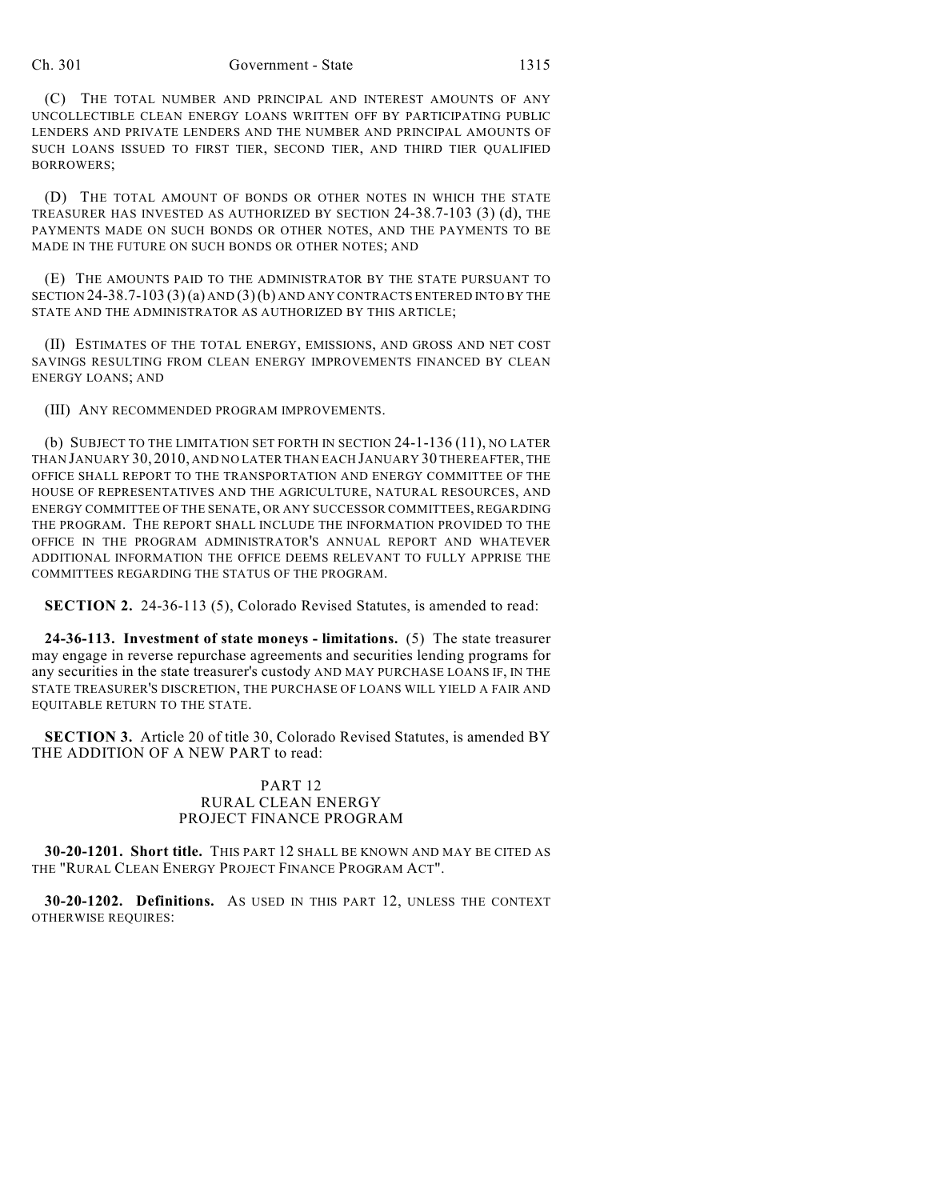#### Ch. 301 Government - State 1315

(C) THE TOTAL NUMBER AND PRINCIPAL AND INTEREST AMOUNTS OF ANY UNCOLLECTIBLE CLEAN ENERGY LOANS WRITTEN OFF BY PARTICIPATING PUBLIC LENDERS AND PRIVATE LENDERS AND THE NUMBER AND PRINCIPAL AMOUNTS OF SUCH LOANS ISSUED TO FIRST TIER, SECOND TIER, AND THIRD TIER QUALIFIED BORROWERS;

(D) THE TOTAL AMOUNT OF BONDS OR OTHER NOTES IN WHICH THE STATE TREASURER HAS INVESTED AS AUTHORIZED BY SECTION 24-38.7-103 (3) (d), THE PAYMENTS MADE ON SUCH BONDS OR OTHER NOTES, AND THE PAYMENTS TO BE MADE IN THE FUTURE ON SUCH BONDS OR OTHER NOTES; AND

(E) THE AMOUNTS PAID TO THE ADMINISTRATOR BY THE STATE PURSUANT TO SECTION  $24-38.7-103(3)(a)$  AND  $(3)(b)$  AND ANY CONTRACTS ENTERED INTO BY THE STATE AND THE ADMINISTRATOR AS AUTHORIZED BY THIS ARTICLE;

(II) ESTIMATES OF THE TOTAL ENERGY, EMISSIONS, AND GROSS AND NET COST SAVINGS RESULTING FROM CLEAN ENERGY IMPROVEMENTS FINANCED BY CLEAN ENERGY LOANS; AND

(III) ANY RECOMMENDED PROGRAM IMPROVEMENTS.

(b) SUBJECT TO THE LIMITATION SET FORTH IN SECTION 24-1-136 (11), NO LATER THAN JANUARY 30, 2010, AND NO LATER THAN EACH JANUARY 30 THEREAFTER, THE OFFICE SHALL REPORT TO THE TRANSPORTATION AND ENERGY COMMITTEE OF THE HOUSE OF REPRESENTATIVES AND THE AGRICULTURE, NATURAL RESOURCES, AND ENERGY COMMITTEE OF THE SENATE, OR ANY SUCCESSOR COMMITTEES, REGARDING THE PROGRAM. THE REPORT SHALL INCLUDE THE INFORMATION PROVIDED TO THE OFFICE IN THE PROGRAM ADMINISTRATOR'S ANNUAL REPORT AND WHATEVER ADDITIONAL INFORMATION THE OFFICE DEEMS RELEVANT TO FULLY APPRISE THE COMMITTEES REGARDING THE STATUS OF THE PROGRAM.

**SECTION 2.** 24-36-113 (5), Colorado Revised Statutes, is amended to read:

**24-36-113. Investment of state moneys - limitations.** (5) The state treasurer may engage in reverse repurchase agreements and securities lending programs for any securities in the state treasurer's custody AND MAY PURCHASE LOANS IF, IN THE STATE TREASURER'S DISCRETION, THE PURCHASE OF LOANS WILL YIELD A FAIR AND EQUITABLE RETURN TO THE STATE.

**SECTION 3.** Article 20 of title 30, Colorado Revised Statutes, is amended BY THE ADDITION OF A NEW PART to read:

## PART 12 RURAL CLEAN ENERGY PROJECT FINANCE PROGRAM

**30-20-1201. Short title.** THIS PART 12 SHALL BE KNOWN AND MAY BE CITED AS THE "RURAL CLEAN ENERGY PROJECT FINANCE PROGRAM ACT".

**30-20-1202. Definitions.** AS USED IN THIS PART 12, UNLESS THE CONTEXT OTHERWISE REQUIRES: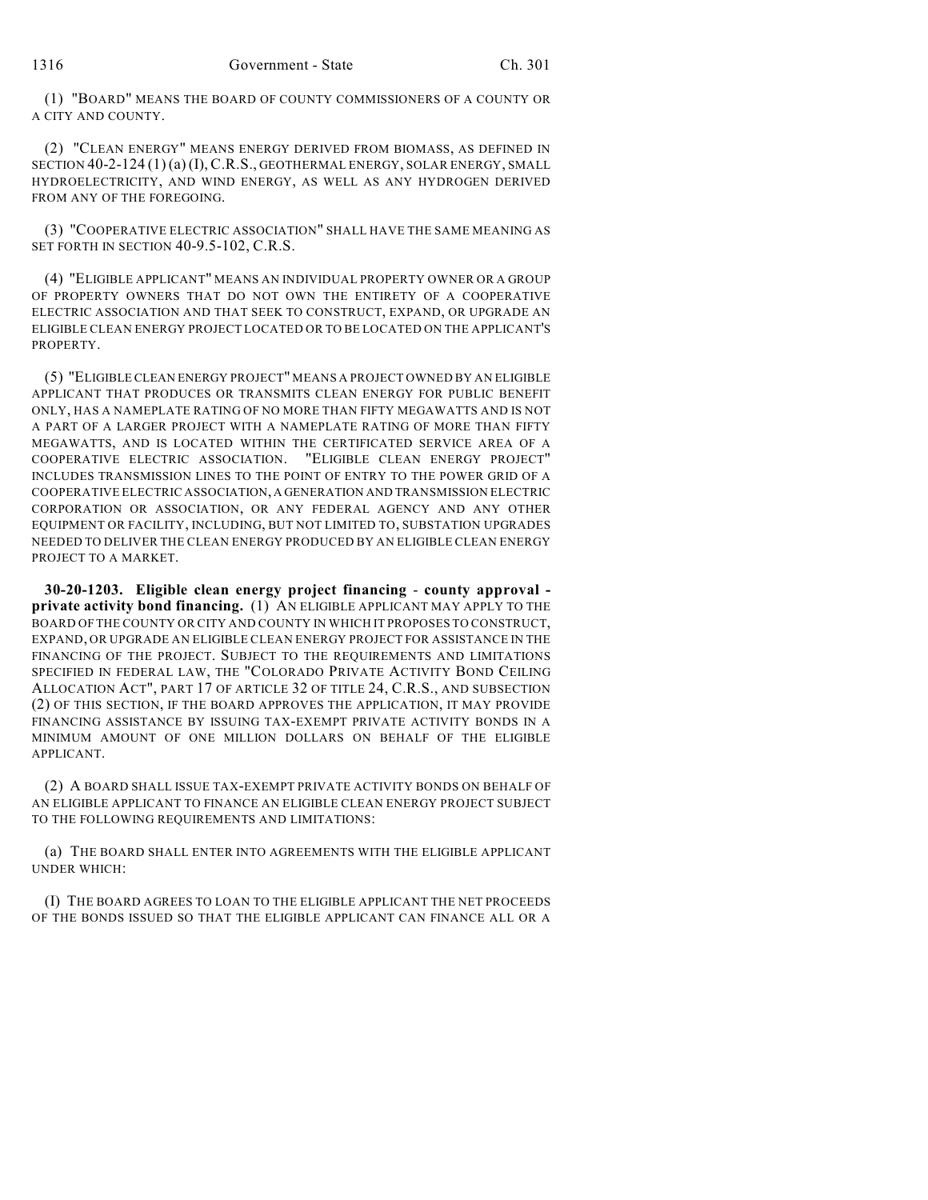(1) "BOARD" MEANS THE BOARD OF COUNTY COMMISSIONERS OF A COUNTY OR A CITY AND COUNTY.

(2) "CLEAN ENERGY" MEANS ENERGY DERIVED FROM BIOMASS, AS DEFINED IN SECTION 40-2-124 (1) (a) (I), C.R.S., GEOTHERMAL ENERGY, SOLAR ENERGY, SMALL HYDROELECTRICITY, AND WIND ENERGY, AS WELL AS ANY HYDROGEN DERIVED FROM ANY OF THE FOREGOING.

(3) "COOPERATIVE ELECTRIC ASSOCIATION" SHALL HAVE THE SAME MEANING AS SET FORTH IN SECTION 40-9.5-102, C.R.S.

(4) "ELIGIBLE APPLICANT" MEANS AN INDIVIDUAL PROPERTY OWNER OR A GROUP OF PROPERTY OWNERS THAT DO NOT OWN THE ENTIRETY OF A COOPERATIVE ELECTRIC ASSOCIATION AND THAT SEEK TO CONSTRUCT, EXPAND, OR UPGRADE AN ELIGIBLE CLEAN ENERGY PROJECT LOCATED OR TO BE LOCATED ON THE APPLICANT'S PROPERTY.

(5) "ELIGIBLE CLEAN ENERGY PROJECT" MEANS A PROJECT OWNED BY AN ELIGIBLE APPLICANT THAT PRODUCES OR TRANSMITS CLEAN ENERGY FOR PUBLIC BENEFIT ONLY, HAS A NAMEPLATE RATING OF NO MORE THAN FIFTY MEGAWATTS AND IS NOT A PART OF A LARGER PROJECT WITH A NAMEPLATE RATING OF MORE THAN FIFTY MEGAWATTS, AND IS LOCATED WITHIN THE CERTIFICATED SERVICE AREA OF A COOPERATIVE ELECTRIC ASSOCIATION. "ELIGIBLE CLEAN ENERGY PROJECT" INCLUDES TRANSMISSION LINES TO THE POINT OF ENTRY TO THE POWER GRID OF A COOPERATIVE ELECTRIC ASSOCIATION, A GENERATION AND TRANSMISSION ELECTRIC CORPORATION OR ASSOCIATION, OR ANY FEDERAL AGENCY AND ANY OTHER EQUIPMENT OR FACILITY, INCLUDING, BUT NOT LIMITED TO, SUBSTATION UPGRADES NEEDED TO DELIVER THE CLEAN ENERGY PRODUCED BY AN ELIGIBLE CLEAN ENERGY PROJECT TO A MARKET.

**30-20-1203. Eligible clean energy project financing** - **county approval private activity bond financing.** (1) AN ELIGIBLE APPLICANT MAY APPLY TO THE BOARD OF THE COUNTY OR CITY AND COUNTY IN WHICH IT PROPOSES TO CONSTRUCT, EXPAND, OR UPGRADE AN ELIGIBLE CLEAN ENERGY PROJECT FOR ASSISTANCE IN THE FINANCING OF THE PROJECT. SUBJECT TO THE REQUIREMENTS AND LIMITATIONS SPECIFIED IN FEDERAL LAW, THE "COLORADO PRIVATE ACTIVITY BOND CEILING ALLOCATION ACT", PART 17 OF ARTICLE 32 OF TITLE 24, C.R.S., AND SUBSECTION (2) OF THIS SECTION, IF THE BOARD APPROVES THE APPLICATION, IT MAY PROVIDE FINANCING ASSISTANCE BY ISSUING TAX-EXEMPT PRIVATE ACTIVITY BONDS IN A MINIMUM AMOUNT OF ONE MILLION DOLLARS ON BEHALF OF THE ELIGIBLE APPLICANT.

(2) A BOARD SHALL ISSUE TAX-EXEMPT PRIVATE ACTIVITY BONDS ON BEHALF OF AN ELIGIBLE APPLICANT TO FINANCE AN ELIGIBLE CLEAN ENERGY PROJECT SUBJECT TO THE FOLLOWING REQUIREMENTS AND LIMITATIONS:

(a) THE BOARD SHALL ENTER INTO AGREEMENTS WITH THE ELIGIBLE APPLICANT UNDER WHICH:

(I) THE BOARD AGREES TO LOAN TO THE ELIGIBLE APPLICANT THE NET PROCEEDS OF THE BONDS ISSUED SO THAT THE ELIGIBLE APPLICANT CAN FINANCE ALL OR A